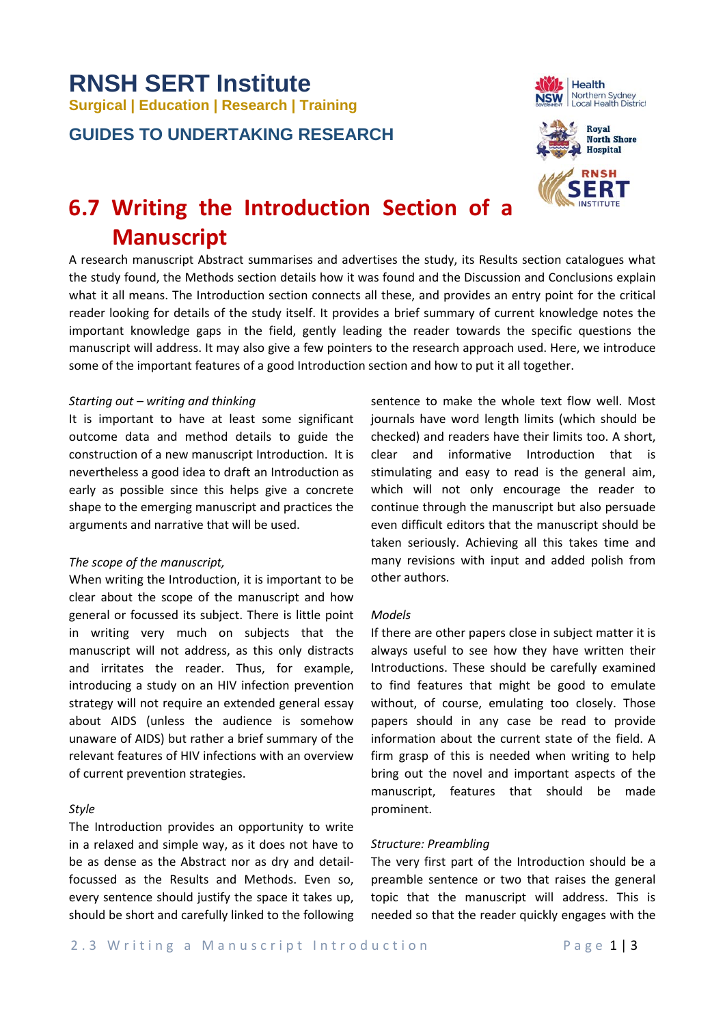# **RNSH SERT Institute Surgical | Education | Research | Training**

**GUIDES TO UNDERTAKING RESEARCH**





# **6.7 Writing the Introduction Section of a Manuscript**

A research manuscript Abstract summarises and advertises the study, its Results section catalogues what the study found, the Methods section details how it was found and the Discussion and Conclusions explain what it all means. The Introduction section connects all these, and provides an entry point for the critical reader looking for details of the study itself. It provides a brief summary of current knowledge notes the important knowledge gaps in the field, gently leading the reader towards the specific questions the manuscript will address. It may also give a few pointers to the research approach used. Here, we introduce some of the important features of a good Introduction section and how to put it all together.

#### *Starting out – writing and thinking*

It is important to have at least some significant outcome data and method details to guide the construction of a new manuscript Introduction. It is nevertheless a good idea to draft an Introduction as early as possible since this helps give a concrete shape to the emerging manuscript and practices the arguments and narrative that will be used.

#### *The scope of the manuscript,*

When writing the Introduction, it is important to be clear about the scope of the manuscript and how general or focussed its subject. There is little point in writing very much on subjects that the manuscript will not address, as this only distracts and irritates the reader. Thus, for example, introducing a study on an HIV infection prevention strategy will not require an extended general essay about AIDS (unless the audience is somehow unaware of AIDS) but rather a brief summary of the relevant features of HIV infections with an overview of current prevention strategies.

#### *Style*

The Introduction provides an opportunity to write in a relaxed and simple way, as it does not have to be as dense as the Abstract nor as dry and detailfocussed as the Results and Methods. Even so, every sentence should justify the space it takes up, should be short and carefully linked to the following sentence to make the whole text flow well. Most journals have word length limits (which should be checked) and readers have their limits too. A short, clear and informative Introduction that is stimulating and easy to read is the general aim, which will not only encourage the reader to continue through the manuscript but also persuade even difficult editors that the manuscript should be taken seriously. Achieving all this takes time and many revisions with input and added polish from other authors.

#### *Models*

If there are other papers close in subject matter it is always useful to see how they have written their Introductions. These should be carefully examined to find features that might be good to emulate without, of course, emulating too closely. Those papers should in any case be read to provide information about the current state of the field. A firm grasp of this is needed when writing to help bring out the novel and important aspects of the manuscript, features that should be made prominent.

#### *Structure: Preambling*

The very first part of the Introduction should be a preamble sentence or two that raises the general topic that the manuscript will address. This is needed so that the reader quickly engages with the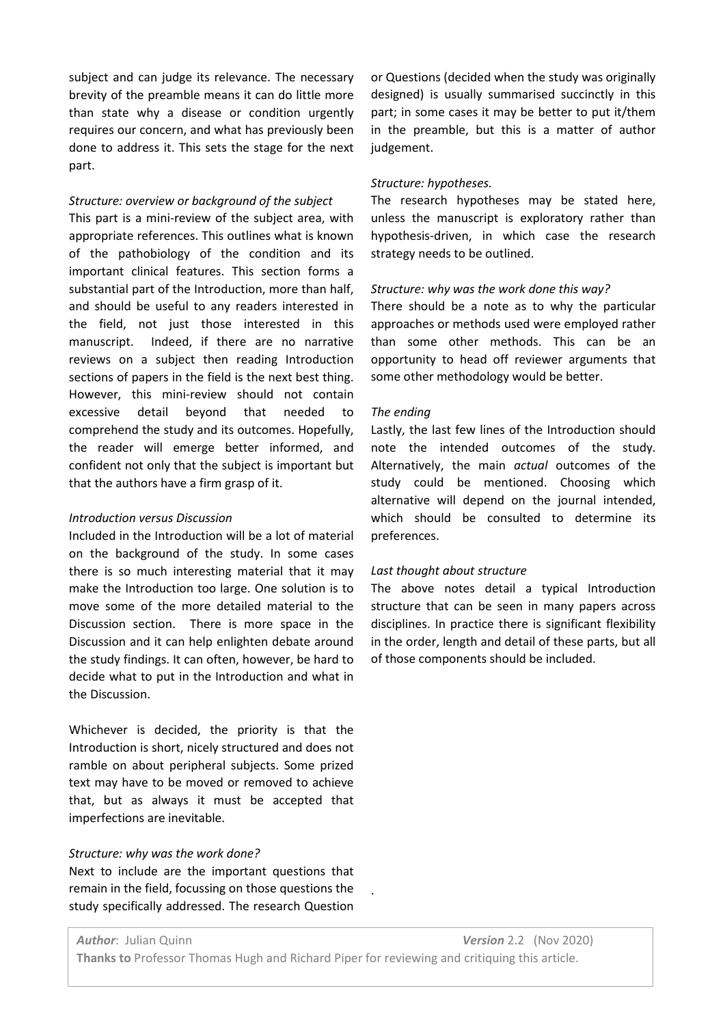subject and can judge its relevance. The necessary brevity of the preamble means it can do little more than state why a disease or condition urgently requires our concern, and what has previously been done to address it. This sets the stage for the next part.

# *Structure: overview or background of the subject*

This part is a mini-review of the subject area, with appropriate references. This outlines what is known of the pathobiology of the condition and its important clinical features. This section forms a substantial part of the Introduction, more than half, and should be useful to any readers interested in the field, not just those interested in this manuscript. Indeed, if there are no narrative reviews on a subject then reading Introduction sections of papers in the field is the next best thing. However, this mini-review should not contain excessive detail beyond that needed to comprehend the study and its outcomes. Hopefully, the reader will emerge better informed, and confident not only that the subject is important but that the authors have a firm grasp of it.

# *Introduction versus Discussion*

Included in the Introduction will be a lot of material on the background of the study. In some cases there is so much interesting material that it may make the Introduction too large. One solution is to move some of the more detailed material to the Discussion section. There is more space in the Discussion and it can help enlighten debate around the study findings. It can often, however, be hard to decide what to put in the Introduction and what in the Discussion.

Whichever is decided, the priority is that the Introduction is short, nicely structured and does not ramble on about peripheral subjects. Some prized text may have to be moved or removed to achieve that, but as always it must be accepted that imperfections are inevitable.

# *Structure: why was the work done?*

Next to include are the important questions that remain in the field, focussing on those questions the study specifically addressed. The research Question

or Questions (decided when the study was originally designed) is usually summarised succinctly in this part; in some cases it may be better to put it/them in the preamble, but this is a matter of author judgement.

# *Structure: hypotheses.*

The research hypotheses may be stated here, unless the manuscript is exploratory rather than hypothesis-driven, in which case the research strategy needs to be outlined.

# *Structure: why was the work done this way?*

There should be a note as to why the particular approaches or methods used were employed rather than some other methods. This can be an opportunity to head off reviewer arguments that some other methodology would be better.

# *The ending*

Lastly, the last few lines of the Introduction should note the intended outcomes of the study. Alternatively, the main *actual* outcomes of the study could be mentioned. Choosing which alternative will depend on the journal intended, which should be consulted to determine its preferences.

#### *Last thought about structure*

The above notes detail a typical Introduction structure that can be seen in many papers across disciplines. In practice there is significant flexibility in the order, length and detail of these parts, but all of those components should be included.

.